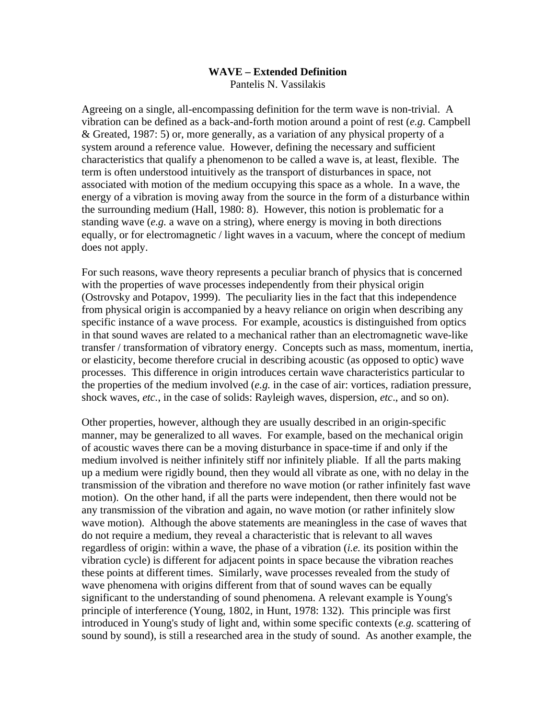## **WAVE – Extended Definition**

Pantelis N. Vassilakis

Agreeing on a single, all-encompassing definition for the term wave is non-trivial. A vibration can be defined as a back-and-forth motion around a point of rest (*e.g.* Campbell & Greated, 1987: 5) or, more generally, as a variation of any physical property of a system around a reference value. However, defining the necessary and sufficient characteristics that qualify a phenomenon to be called a wave is, at least, flexible. The term is often understood intuitively as the transport of disturbances in space, not associated with motion of the medium occupying this space as a whole. In a wave, the energy of a vibration is moving away from the source in the form of a disturbance within the surrounding medium (Hall, 1980: 8). However, this notion is problematic for a standing wave (*e.g.* a wave on a string), where energy is moving in both directions equally, or for electromagnetic / light waves in a vacuum, where the concept of medium does not apply.

For such reasons, wave theory represents a peculiar branch of physics that is concerned with the properties of wave processes independently from their physical origin (Ostrovsky and Potapov, 1999). The peculiarity lies in the fact that this independence from physical origin is accompanied by a heavy reliance on origin when describing any specific instance of a wave process. For example, acoustics is distinguished from optics in that sound waves are related to a mechanical rather than an electromagnetic wave-like transfer / transformation of vibratory energy. Concepts such as mass, momentum, inertia, or elasticity, become therefore crucial in describing acoustic (as opposed to optic) wave processes. This difference in origin introduces certain wave characteristics particular to the properties of the medium involved (*e.g.* in the case of air: vortices, radiation pressure, shock waves, *etc.*, in the case of solids: Rayleigh waves, dispersion, *etc*., and so on).

Other properties, however, although they are usually described in an origin-specific manner, may be generalized to all waves. For example, based on the mechanical origin of acoustic waves there can be a moving disturbance in space-time if and only if the medium involved is neither infinitely stiff nor infinitely pliable. If all the parts making up a medium were rigidly bound, then they would all vibrate as one, with no delay in the transmission of the vibration and therefore no wave motion (or rather infinitely fast wave motion). On the other hand, if all the parts were independent, then there would not be any transmission of the vibration and again, no wave motion (or rather infinitely slow wave motion). Although the above statements are meaningless in the case of waves that do not require a medium, they reveal a characteristic that is relevant to all waves regardless of origin: within a wave, the phase of a vibration (*i.e.* its position within the vibration cycle) is different for adjacent points in space because the vibration reaches these points at different times. Similarly, wave processes revealed from the study of wave phenomena with origins different from that of sound waves can be equally significant to the understanding of sound phenomena. A relevant example is Young's principle of interference (Young, 1802, in Hunt, 1978: 132). This principle was first introduced in Young's study of light and, within some specific contexts (*e.g.* scattering of sound by sound), is still a researched area in the study of sound. As another example, the